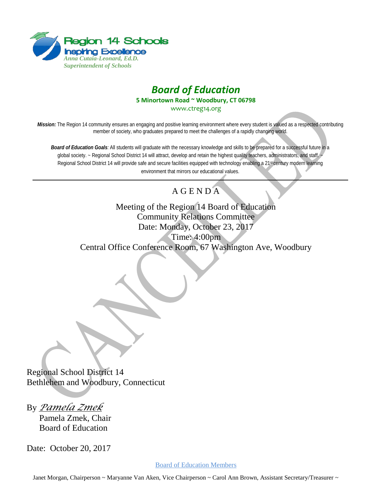



**5 Minortown Road ~ Woodbury, CT 06798**

[www.ctreg14.org](http://www.ctreg14.org/)

*Mission:* The Region 14 community ensures an engaging and positive learning environment where every student is valued as a respected contributing member of society, who graduates prepared to meet the challenges of a rapidly changing world.

*Board of Education Goals:* All students will graduate with the necessary knowledge and skills to be prepared for a successful future in a global society. ~ Regional School District 14 will attract, develop and retain the highest quality teachers, administrators, and staff. Regional School District 14 will provide safe and secure facilities equipped with technology enabling a 21st century modern learning environment that mirrors our educational values.

## A G E N D A

Meeting of the Region 14 Board of Education Community Relations Committee Date: Monday, October 23, 2017 Time: 4:00pm Central Office Conference Room, 67 Washington Ave, Woodbury

Regional School District 14 Bethlehem and Woodbury, Connecticut

By *Pamela Zmek*

Pamela Zmek, Chair Board of Education

Date: October 20, 2017

Board of Education Members